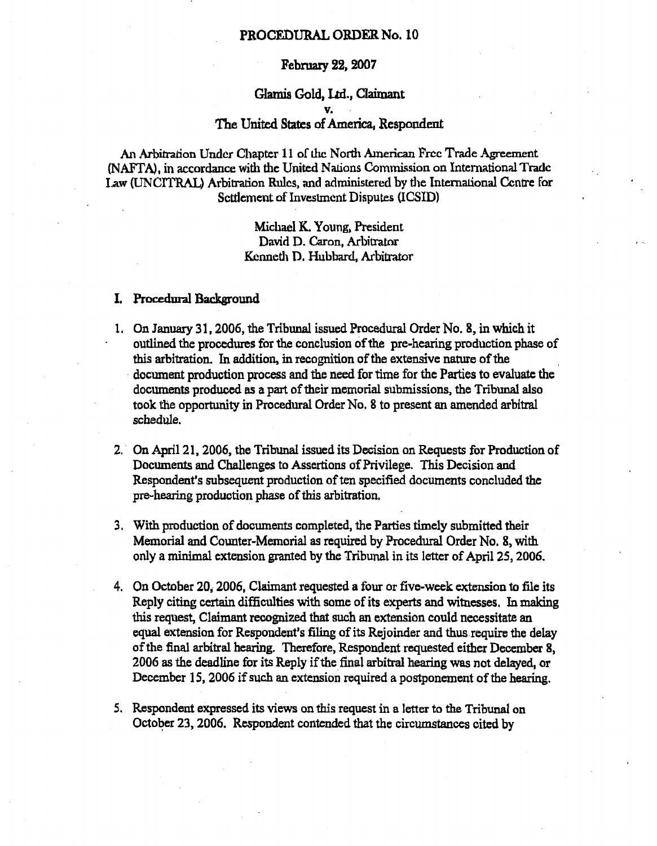## **PROCEDURAL ORDER No. 10**

### **February 22, 2007**

# **Glamis** Gold, Ltd., Claimant v. The United States of America, Respondent

An Arbitration Under Chapter 11 of the North American Free Trade Agreement (NAFTA), in accordance with the United Nations Commission on International Trade Law (UNCITRAL) Arbitration Rules, and administered by the International Centre for Settlement of Investment Disputes (ICSID) (]<br>L<br>.

Michael K. Young, President David D. Caron, Arbitrator Kenneth D. Hubbard, Arbitrator

### **I. Procedural Background**

- 1. On January 31, 2006, the Tribunal issued Procedural Order No. 8, in which it outlined the procedures for the conclusion of the pre-hearing production phase of this arbitration. In addition, in recognition of the extensive nature of the document production process and the need for time for the Parties to evaluate the documents produced as a part of their memorial submissions, the Tribunal also took the opportunity in Procedural Order No. 8 to present an amended arbitral schedule.
- 2. On April 21, 2006, the Tribunal issued its Decision on Requests for Production of Documents and Challenges to Assertions of Privilege. This Decision and Respondent's subsequent production of ten specified documents concluded the pre-hearing production phase of this arbitration,
- 3. With production of documents completed, the Parties timely submitted their Memorial and Counter-Memorial as required by Procedural Order No. 8, with only a minimal extension granted by the Tribunal in its letter of April 25, 2006.
- 4. On October 20, 2006, Claimant requested a four or five-week extension to file its Reply citing certain difficulties with some of its experts and witnesses. In making this request, Claimant recognized that such an extension could necessitate an equal extension for Respondent's filing of its Rejoinder and thus require the delay of the final arbitral hearing. Therefore, Respondent requested either December 8, 2006 as the deadline for its Reply if the final arbitral hearing was not delayed, or December 15, 2006 if such an extension required a postponement of the hearing.
- 5. Respondent expressed its views on this request in a letter to the Tribunal on October 23, 2006. Respondent contended that the circumstances cited by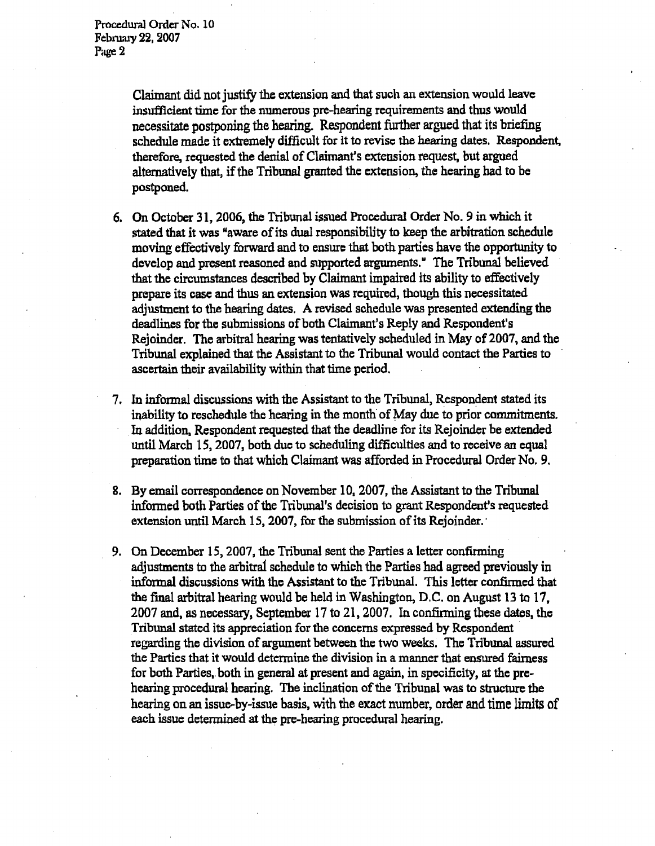Claimant did not justify the extension and that such an extension would leave insufficient time for the numerous pre-hearing requirements and thus would **necessitate postponing the hearing. Respondent further argued that its briefing** schedule made it extremely difficult for it to revise the hearing dates, Respondent, therefore, requested the denial of Claimant's extension request, but argued alternatively that, if the Tribunal granted the extension, the hearing had to be postponed.

- 6. On October 31, 2006, the Tribunal issued Procedural Order No. 9 in which it stated that it was "aware of its dual responsibility to keep the arbitration schedule moving effectively forward and to ensure that both parties have the opportunity to develop and present reasoned and supported arguments." The Tribunal believed that the circumstances described by Claimant impaired its ability to effectively prepare its case and thus an extension was required, though this necessitated adjustment to the hearing dates. A revised schedule was presented extending the deadlines for the submissions of both Claimant's Reply and Respondent's Rejoinder. The arbitral hearing was tentatively scheduled in May of 2007, and the Tribunal explained that the Assistant to the Tribunal would contact the Parties to ascertain their availability within that time period.
- 7. In informal discussions with the Assistant to the Tribunal, Respondent stated its inability to reschedule the hearing in the month of May due to prior commitments. In. addition, Respondent requested that the deadline for its Rejoinder be extended until March 15, 2007, both due to scheduling difficulties and to receive an equal preparation time to that which Claimant was afforded in Procedural Order No. 9.
- 8. By email correspondence on November 10, 2007, the Assistant to the Tribunal informed both Parties of the Tribunal's decision to grant Respondent's requested extension until March 15, 2007, for the submission of its Rejoinder.
- 9. On December 15, 2007, the Tribunal sent the Parties a letter confirming adjustments to the arbitral schedule to which the Parties had agreed previously in informal discussions with the Assistant to the Tribunal. This letter confirmed that the final arbitral hearing would be held in Washington, D.C. on August 13 to 17, 2007 and, as necessary, September 17 to 21, 2007. In confirming these dates, the Tribunal stated its appreciation for the concerns expressed by Respondent regarding the division of argument between the two weeks. The Tribunal assured the Parties that it would determine the division in a manner that ensured fairness for both Parties, both in general at present and again, in specificity, at the prehearing procedural hearing. The inclination of the Tribunal was to structure the hearing on an issue-by-issue basis, with the exact **number, order and time** limits of each issue determined at the pre-hearing procedural hearing.